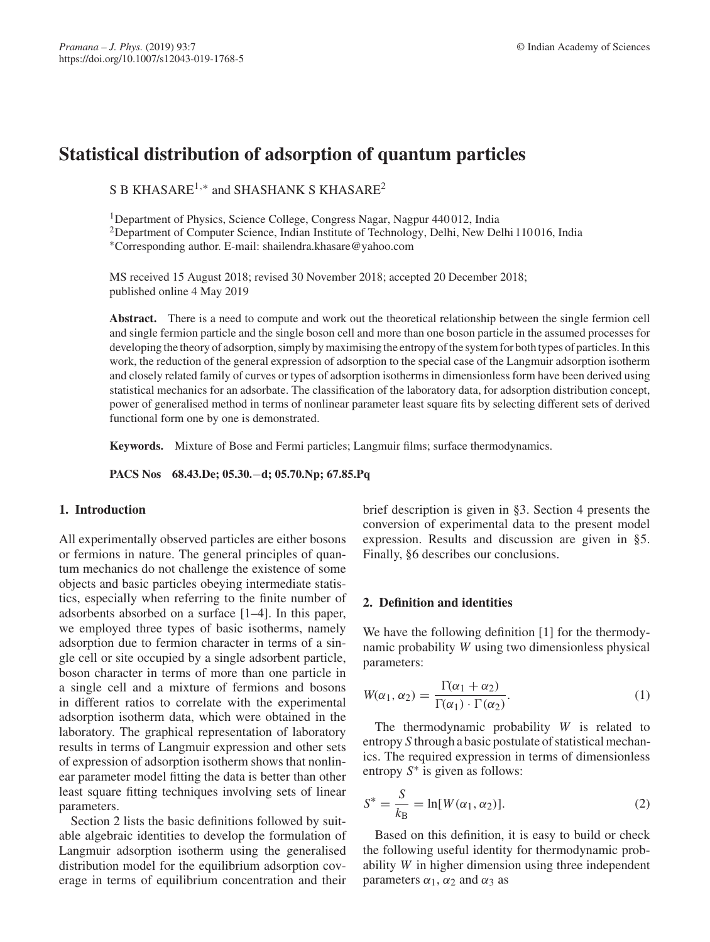# **Statistical distribution of adsorption of quantum particles**

S B KHASARE<sup>1,∗</sup> and SHASHANK S KHASARE<sup>2</sup>

<sup>1</sup>Department of Physics, Science College, Congress Nagar, Nagpur 440012, India

<sup>2</sup>Department of Computer Science, Indian Institute of Technology, Delhi, New Delhi 110016, India

∗Corresponding author. E-mail: shailendra.khasare@yahoo.com

MS received 15 August 2018; revised 30 November 2018; accepted 20 December 2018; published online 4 May 2019

Abstract. There is a need to compute and work out the theoretical relationship between the single fermion cell and single fermion particle and the single boson cell and more than one boson particle in the assumed processes for developing the theory of adsorption, simply by maximising the entropy of the system for both types of particles. In this work, the reduction of the general expression of adsorption to the special case of the Langmuir adsorption isotherm and closely related family of curves or types of adsorption isotherms in dimensionless form have been derived using statistical mechanics for an adsorbate. The classification of the laboratory data, for adsorption distribution concept, power of generalised method in terms of nonlinear parameter least square fits by selecting different sets of derived functional form one by one is demonstrated.

**Keywords.** Mixture of Bose and Fermi particles; Langmuir films; surface thermodynamics.

**PACS Nos 68.43.De; 05.30.**−**d; 05.70.Np; 67.85.Pq**

# **1. Introduction**

All experimentally observed particles are either bosons or fermions in nature. The general principles of quantum mechanics do not challenge the existence of some objects and basic particles obeying intermediate statistics, especially when referring to the finite number of adsorbents absorbed on a surface [1–4]. In this paper, we employed three types of basic isotherms, namely adsorption due to fermion character in terms of a single cell or site occupied by a single adsorbent particle, boson character in terms of more than one particle in a single cell and a mixture of fermions and bosons in different ratios to correlate with the experimental adsorption isotherm data, which were obtained in the laboratory. The graphical representation of laboratory results in terms of Langmuir expression and other sets of expression of adsorption isotherm shows that nonlinear parameter model fitting the data is better than other least square fitting techniques involving sets of linear parameters.

Section 2 lists the basic definitions followed by suitable algebraic identities to develop the formulation of Langmuir adsorption isotherm using the generalised distribution model for the equilibrium adsorption coverage in terms of equilibrium concentration and their brief description is given in §3. Section 4 presents the conversion of experimental data to the present model expression. Results and discussion are given in §5. Finally, §6 describes our conclusions.

## **2. Definition and identities**

We have the following definition [1] for the thermodynamic probability *W* using two dimensionless physical parameters:

$$
W(\alpha_1, \alpha_2) = \frac{\Gamma(\alpha_1 + \alpha_2)}{\Gamma(\alpha_1) \cdot \Gamma(\alpha_2)}.
$$
\n(1)

The thermodynamic probability *W* is related to entropy *S* through a basic postulate of statistical mechanics. The required expression in terms of dimensionless entropy *S*∗ is given as follows:

$$
S^* = \frac{S}{k_B} = \ln[W(\alpha_1, \alpha_2)].
$$
\n(2)

Based on this definition, it is easy to build or check the following useful identity for thermodynamic probability *W* in higher dimension using three independent parameters  $\alpha_1$ ,  $\alpha_2$  and  $\alpha_3$  as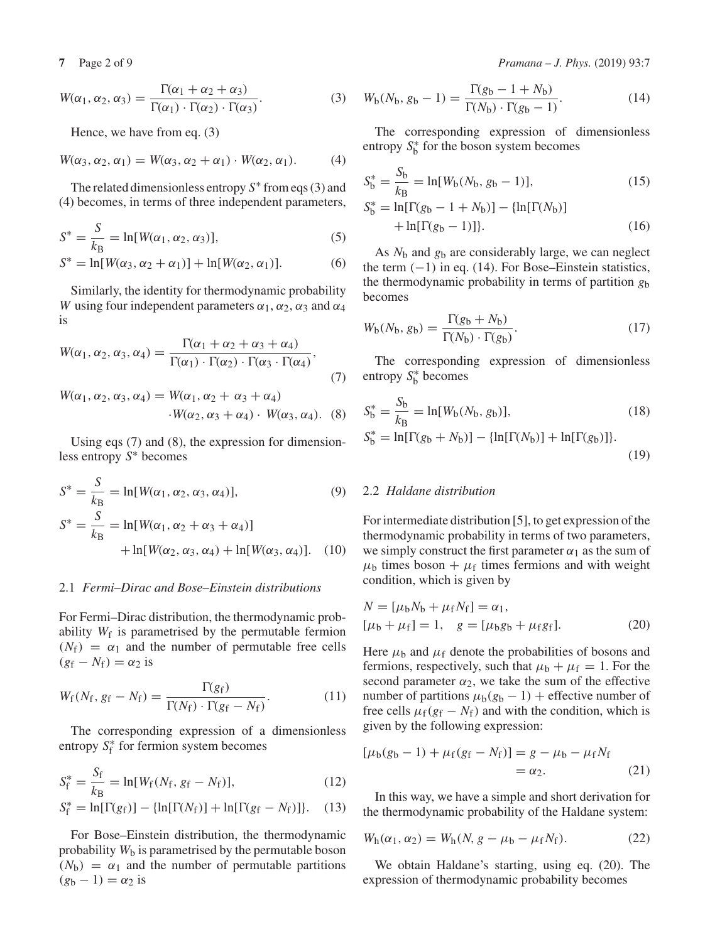$$
W(\alpha_1, \alpha_2, \alpha_3) = \frac{\Gamma(\alpha_1 + \alpha_2 + \alpha_3)}{\Gamma(\alpha_1) \cdot \Gamma(\alpha_2) \cdot \Gamma(\alpha_3)}.
$$
 (3)

Hence, we have from eq. (3)

$$
W(\alpha_3, \alpha_2, \alpha_1) = W(\alpha_3, \alpha_2 + \alpha_1) \cdot W(\alpha_2, \alpha_1). \tag{4}
$$

The related dimensionless entropy *S*∗ from eqs (3) and (4) becomes, in terms of three independent parameters,

$$
S^* = \frac{S}{k_B} = \ln[W(\alpha_1, \alpha_2, \alpha_3)],\tag{5}
$$

$$
S^* = \ln[W(\alpha_3, \alpha_2 + \alpha_1)] + \ln[W(\alpha_2, \alpha_1)].
$$
 (6)

Similarly, the identity for thermodynamic probability *W* using four independent parameters  $\alpha_1$ ,  $\alpha_2$ ,  $\alpha_3$  and  $\alpha_4$ is

$$
W(\alpha_1, \alpha_2, \alpha_3, \alpha_4) = \frac{\Gamma(\alpha_1 + \alpha_2 + \alpha_3 + \alpha_4)}{\Gamma(\alpha_1) \cdot \Gamma(\alpha_2) \cdot \Gamma(\alpha_3 \cdot \Gamma(\alpha_4))},
$$
\n(7)

$$
W(\alpha_1, \alpha_2, \alpha_3, \alpha_4) = W(\alpha_1, \alpha_2 + \alpha_3 + \alpha_4)
$$
  
. 
$$
W(\alpha_2, \alpha_3 + \alpha_4) \cdot W(\alpha_3, \alpha_4).
$$
 (8)

Using eqs (7) and (8), the expression for dimensionless entropy *S*∗ becomes

$$
S^* = \frac{S}{k_B} = \ln[W(\alpha_1, \alpha_2, \alpha_3, \alpha_4)],
$$
\n(9)  
\n
$$
S^* = \frac{S}{k_B} = \ln[W(\alpha_1, \alpha_2 + \alpha_3 + \alpha_4)] + \ln[W(\alpha_2, \alpha_3, \alpha_4) + \ln[W(\alpha_3, \alpha_4)].
$$

## 2.1 *Fermi–Dirac and Bose–Einstein distributions*

For Fermi–Dirac distribution, the thermodynamic probability  $W_f$  is parametrised by the permutable fermion  $(N_f) = \alpha_1$  and the number of permutable free cells  $(g_f - N_f) = \alpha_2$  is

$$
W_{\rm f}(N_{\rm f}, g_{\rm f} - N_{\rm f}) = \frac{\Gamma(g_{\rm f})}{\Gamma(N_{\rm f}) \cdot \Gamma(g_{\rm f} - N_{\rm f})}.
$$
 (11)

The corresponding expression of a dimensionless entropy  $S_f^*$  for fermion system becomes

$$
S_{\rm f}^* = \frac{S_{\rm f}}{k_{\rm B}} = \ln[W_{\rm f}(N_{\rm f}, g_{\rm f} - N_{\rm f})],\tag{12}
$$

$$
S_f^* = \ln[\Gamma(g_f)] - \{\ln[\Gamma(N_f)] + \ln[\Gamma(g_f - N_f)]\}.
$$
 (13)

For Bose–Einstein distribution, the thermodynamic probability  $W<sub>b</sub>$  is parametrised by the permutable boson  $(N_b) = \alpha_1$  and the number of permutable partitions  $(g_b - 1) = \alpha_2$  is

$$
W_{b}(N_{b}, g_{b} - 1) = \frac{\Gamma(g_{b} - 1 + N_{b})}{\Gamma(N_{b}) \cdot \Gamma(g_{b} - 1)}.
$$
 (14)

The corresponding expression of dimensionless entropy  $S_b^*$  for the boson system becomes

$$
S_b^* = \frac{S_b}{k_B} = \ln[W_b(N_b, g_b - 1)],
$$
  
\n
$$
S_b^* = \ln[\Gamma(g_b - 1 + N_b)] - \{\ln[\Gamma(N_b)] + \ln[\Gamma(g_b - 1)]\}.
$$
\n(16)

As *N*<sup>b</sup> and *g*<sup>b</sup> are considerably large, we can neglect the term  $(-1)$  in eq. (14). For Bose–Einstein statistics, the thermodynamic probability in terms of partition *g*<sup>b</sup> becomes

$$
W_{b}(N_{b}, g_{b}) = \frac{\Gamma(g_{b} + N_{b})}{\Gamma(N_{b}) \cdot \Gamma(g_{b})}.
$$
 (17)

The corresponding expression of dimensionless entropy  $S_b^*$  becomes

$$
S_b^* = \frac{S_b}{k_B} = \ln[W_b(N_b, g_b)],
$$
\n
$$
S_b^* = \ln[\Gamma(g_b + N_b)] - \{\ln[\Gamma(N_b)] + \ln[\Gamma(g_b)]\}.
$$
\n(19)

#### 2.2 *Haldane distribution*

For intermediate distribution [5], to get expression of the thermodynamic probability in terms of two parameters, we simply construct the first parameter  $\alpha_1$  as the sum of  $\mu_b$  times boson +  $\mu_f$  times fermions and with weight condition, which is given by

$$
N = [\mu_b N_b + \mu_f N_f] = \alpha_1,
$$
  

$$
[\mu_b + \mu_f] = 1, \quad g = [\mu_b g_b + \mu_f g_f].
$$
 (20)

Here  $\mu_b$  and  $\mu_f$  denote the probabilities of bosons and fermions, respectively, such that  $\mu_b + \mu_f = 1$ . For the second parameter  $\alpha_2$ , we take the sum of the effective number of partitions  $\mu_b(g_b - 1)$  + effective number of free cells  $\mu_f(g_f - N_f)$  and with the condition, which is given by the following expression:

$$
[\mu_b(g_b - 1) + \mu_f(g_f - N_f)] = g - \mu_b - \mu_f N_f
$$
  
=  $\alpha_2$ . (21)

In this way, we have a simple and short derivation for the thermodynamic probability of the Haldane system:

$$
W_h(\alpha_1, \alpha_2) = W_h(N, g - \mu_b - \mu_f N_f).
$$
 (22)

We obtain Haldane's starting, using eq. (20). The expression of thermodynamic probability becomes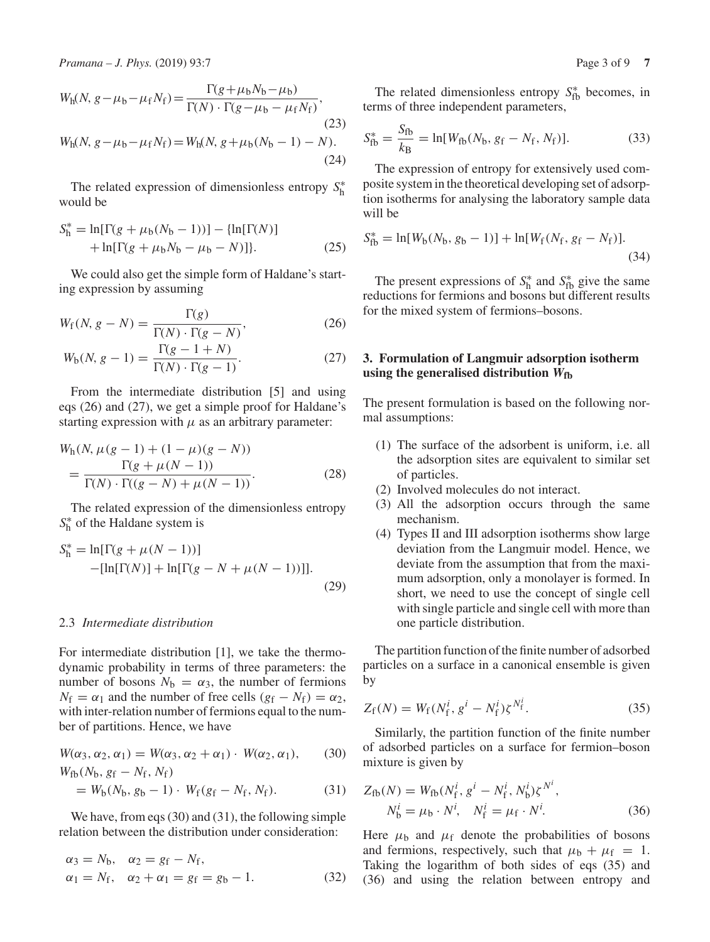$$
W_{h}(N, g - \mu_{b} - \mu_{f} N_{f}) = \frac{\Gamma(g + \mu_{b} N_{b} - \mu_{b})}{\Gamma(N) \cdot \Gamma(g - \mu_{b} - \mu_{f} N_{f})},
$$
\n(23)  
\n
$$
W_{h}(N, g - \mu_{b} - \mu_{f} N_{f}) = W_{h}(N, g + \mu_{b} (N_{b} - 1) - N).
$$
\n(24)

The related expression of dimensionless entropy *S*∗ h would be

$$
S_{\rm h}^* = \ln[\Gamma(g + \mu_{\rm b}(N_{\rm b} - 1))] - {\ln[\Gamma(N)] + \ln[\Gamma(g + \mu_{\rm b}N_{\rm b} - \mu_{\rm b} - N)]}.
$$
 (25)

We could also get the simple form of Haldane's starting expression by assuming

$$
W_{\rm f}(N, g - N) = \frac{\Gamma(g)}{\Gamma(N) \cdot \Gamma(g - N)},\tag{26}
$$

$$
W_{b}(N, g - 1) = \frac{\Gamma(g - 1 + N)}{\Gamma(N) \cdot \Gamma(g - 1)}.
$$
 (27)

From the intermediate distribution [5] and using eqs (26) and (27), we get a simple proof for Haldane's starting expression with  $\mu$  as an arbitrary parameter:

$$
W_h(N, \mu(g-1) + (1 - \mu)(g - N))
$$
  
= 
$$
\frac{\Gamma(g + \mu(N - 1))}{\Gamma(N) \cdot \Gamma((g - N) + \mu(N - 1))}
$$
 (28)

The related expression of the dimensionless entropy *S*∗ <sup>h</sup> of the Haldane system is

$$
S_{\rm h}^{*} = \ln[\Gamma(g + \mu(N - 1))]
$$
  
-[\ln[\Gamma(N)] + \ln[\Gamma(g - N + \mu(N - 1))]]. (29)

## 2.3 *Intermediate distribution*

For intermediate distribution [1], we take the thermodynamic probability in terms of three parameters: the number of bosons  $N_b = \alpha_3$ , the number of fermions  $N_f = \alpha_1$  and the number of free cells  $(g_f - N_f) = \alpha_2$ , with inter-relation number of fermions equal to the number of partitions. Hence, we have

$$
W(\alpha_3, \alpha_2, \alpha_1) = W(\alpha_3, \alpha_2 + \alpha_1) \cdot W(\alpha_2, \alpha_1), \qquad (30)
$$
  
 
$$
W_{\text{fb}}(N_{\text{b}}, g_{\text{f}} - N_{\text{f}}, N_{\text{f}})
$$

$$
= W_{b}(N_{b}, g_{b} - 1) \cdot W_{f}(g_{f} - N_{f}, N_{f}). \tag{31}
$$

We have, from eqs (30) and (31), the following simple relation between the distribution under consideration:

$$
\alpha_3 = N_b, \quad \alpha_2 = g_f - N_f,
$$
  
\n $\alpha_1 = N_f, \quad \alpha_2 + \alpha_1 = g_f = g_b - 1.$  (32)

The related dimensionless entropy  $S_{\text{fb}}^*$  becomes, in terms of three independent parameters,

$$
S_{\text{fb}}^* = \frac{S_{\text{fb}}}{k_{\text{B}}} = \ln[W_{\text{fb}}(N_{\text{b}}, g_{\text{f}} - N_{\text{f}}, N_{\text{f}})].
$$
 (33)

The expression of entropy for extensively used composite system in the theoretical developing set of adsorption isotherms for analysing the laboratory sample data will be

$$
S_{\text{fb}}^* = \ln[W_b(N_b, g_b - 1)] + \ln[W_f(N_f, g_f - N_f)].
$$
\n(34)

The present expressions of  $S_h^*$  and  $S_{\text{fb}}^*$  give the same reductions for fermions and bosons but different results for the mixed system of fermions–bosons.

# **3. Formulation of Langmuir adsorption isotherm using the generalised distribution** *W***fb**

The present formulation is based on the following normal assumptions:

- (1) The surface of the adsorbent is uniform, i.e. all the adsorption sites are equivalent to similar set of particles.
- (2) Involved molecules do not interact.
- (3) All the adsorption occurs through the same mechanism.
- (4) Types II and III adsorption isotherms show large deviation from the Langmuir model. Hence, we deviate from the assumption that from the maximum adsorption, only a monolayer is formed. In short, we need to use the concept of single cell with single particle and single cell with more than one particle distribution.

The partition function of the finite number of adsorbed particles on a surface in a canonical ensemble is given by

$$
Z_{\rm f}(N) = W_{\rm f}(N_{\rm f}^i, g^i - N_{\rm f}^i)\zeta^{N_{\rm f}^i}.
$$
 (35)

Similarly, the partition function of the finite number of adsorbed particles on a surface for fermion–boson mixture is given by

$$
Z_{\rm fb}(N) = W_{\rm fb}(N_{\rm f}^i, g^i - N_{\rm f}^i, N_{\rm b}^i) \zeta^{N^i},
$$
  

$$
N_{\rm b}^i = \mu_{\rm b} \cdot N^i, \quad N_{\rm f}^i = \mu_{\rm f} \cdot N^i.
$$
 (36)

Here  $\mu_b$  and  $\mu_f$  denote the probabilities of bosons and fermions, respectively, such that  $\mu_b + \mu_f = 1$ . Taking the logarithm of both sides of eqs (35) and (36) and using the relation between entropy and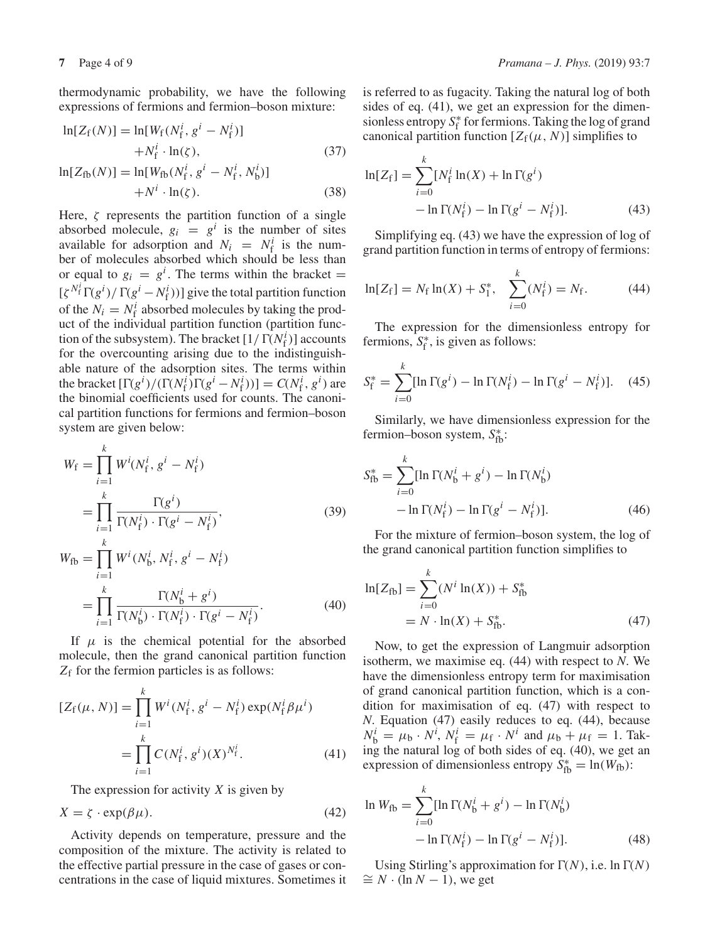thermodynamic probability, we have the following expressions of fermions and fermion–boson mixture:

$$
\ln[Z_{\rm f}(N)] = \ln[W_{\rm f}(N_{\rm f}^i, g^i - N_{\rm f}^i)] + N_{\rm f}^i \cdot \ln(\zeta),
$$
\n(37)  
\n
$$
\ln[Z_{\rm fb}(N)] = \ln[W_{\rm fb}(N_{\rm f}^i, g^i - N_{\rm f}^i, N_{\rm b}^i)] + N^i \cdot \ln(\zeta).
$$

Here,  $\zeta$  represents the partition function of a single absorbed molecule,  $g_i = g^i$  is the number of sites available for adsorption and  $N_i = N_f^i$  is the number of molecules absorbed which should be less than or equal to  $g_i = g^i$ . The terms within the bracket =  $[\zeta^{N_f^i}\Gamma(g^i)/\Gamma(g^i-N_f^i))]$  give the total partition function of the  $N_i = N_f^i$  absorbed molecules by taking the product of the individual partition function (partition function of the subsystem). The bracket  $[1/\Gamma(N_f^i)]$  accounts for the overcounting arising due to the indistinguishable nature of the adsorption sites. The terms within the bracket  $[\Gamma(g^i)/(\Gamma(N_f^i)\Gamma(g^i - N_f^i))] = C(N_f^i, g^i)$  are the binomial coefficients used for counts. The canonical partition functions for fermions and fermion–boson system are given below:

$$
W_{\rm f} = \prod_{i=1}^{k} W^{i} (N_{\rm f}^{i}, g^{i} - N_{\rm f}^{i})
$$
  
= 
$$
\prod_{i=1}^{k} \frac{\Gamma(g^{i})}{\Gamma(N_{\rm f}^{i}) \cdot \Gamma(g^{i} - N_{\rm f}^{i})},
$$
  

$$
W_{\rm fb} = \prod_{i=1}^{k} W^{i} (N_{\rm b}^{i}, N_{\rm f}^{i}, g^{i} - N_{\rm f}^{i})
$$
 (39)

$$
= \prod_{i=1}^{k} \frac{\Gamma(N_b^i + g^i)}{\Gamma(N_b^i) \cdot \Gamma(N_f^i) \cdot \Gamma(g^i - N_f^i)}.
$$
\n(40)

If  $\mu$  is the chemical potential for the absorbed molecule, then the grand canonical partition function *Z*<sup>f</sup> for the fermion particles is as follows:

$$
[Z_f(\mu, N)] = \prod_{i=1}^k W^i(N_f^i, g^i - N_f^i) \exp(N_f^i \beta \mu^i)
$$
  
= 
$$
\prod_{i=1}^k C(N_f^i, g^i)(X)^{N_f^i}.
$$
 (41)

The expression for activity *X* is given by

$$
X = \zeta \cdot \exp(\beta \mu). \tag{42}
$$

Activity depends on temperature, pressure and the composition of the mixture. The activity is related to the effective partial pressure in the case of gases or concentrations in the case of liquid mixtures. Sometimes it is referred to as fugacity. Taking the natural log of both sides of eq. (41), we get an expression for the dimensionless entropy  $S_f^*$  for fermions. Taking the log of grand canonical partition function  $[Z_f(\mu, N)]$  simplifies to

$$
\ln[Z_{\rm f}] = \sum_{i=0}^{k} [N_{\rm f}^i \ln(X) + \ln \Gamma(g^i) - \ln \Gamma(N_{\rm f}^i) - \ln \Gamma(g^i - N_{\rm f}^i)].
$$
\n(43)

Simplifying eq. (43) we have the expression of log of grand partition function in terms of entropy of fermions:

$$
\ln[Z_f] = N_f \ln(X) + S_1^*, \quad \sum_{i=0}^k (N_f^i) = N_f. \tag{44}
$$

The expression for the dimensionless entropy for fermions,  $S_f^*$ , is given as follows:

$$
S_f^* = \sum_{i=0}^k [\ln \Gamma(g^i) - \ln \Gamma(N_f^i) - \ln \Gamma(g^i - N_f^i)]. \quad (45)
$$

Similarly, we have dimensionless expression for the fermion–boson system,  $S_{\text{fb}}^*$ :

$$
S_{\text{fb}}^{*} = \sum_{i=0}^{k} [\ln \Gamma(N_{\text{b}}^{i} + g^{i}) - \ln \Gamma(N_{\text{b}}^{i}) - \ln \Gamma(N_{\text{f}}^{i}) - \ln \Gamma(N_{\text{f}}^{i}) - \ln \Gamma(g^{i} - N_{\text{f}}^{i})]. \tag{46}
$$

For the mixture of fermion–boson system, the log of the grand canonical partition function simplifies to

$$
\ln[Z_{\text{fb}}] = \sum_{i=0}^{k} (N^i \ln(X)) + S_{\text{fb}}^*
$$
  
=  $N \cdot \ln(X) + S_{\text{fb}}^*$ . (47)

Now, to get the expression of Langmuir adsorption isotherm, we maximise eq. (44) with respect to *N*. We have the dimensionless entropy term for maximisation of grand canonical partition function, which is a condition for maximisation of eq. (47) with respect to *N*. Equation (47) easily reduces to eq. (44), because  $N_b^i = \mu_b \cdot N^i$ ,  $N_f^i = \mu_f \cdot N^i$  and  $\mu_b + \mu_f = 1$ . Taking the natural log of both sides of eq. (40), we get an expression of dimensionless entropy  $S_{\text{fb}}^* = \ln(W_{\text{fb}})$ :

$$
\ln W_{\text{fb}} = \sum_{i=0}^{k} [\ln \Gamma(N_{\text{b}}^{i} + g^{i}) - \ln \Gamma(N_{\text{b}}^{i}) - \ln \Gamma(N_{\text{f}}^{i}) - \ln \Gamma(g^{i} - N_{\text{f}}^{i})].
$$
\n(48)

Using Stirling's approximation for  $\Gamma(N)$ , i.e. ln  $\Gamma(N)$  $\cong N \cdot (\ln N - 1)$ , we get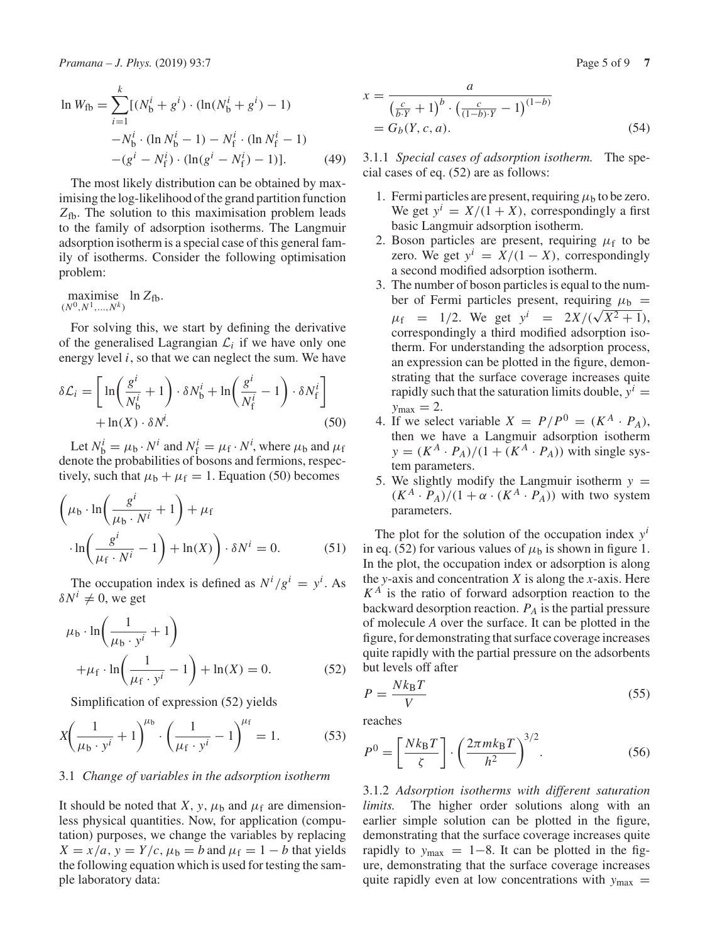$$
\ln W_{\text{fb}} = \sum_{i=1}^{k} [(N_{\text{b}}^{i} + g^{i}) \cdot (\ln(N_{\text{b}}^{i} + g^{i}) - 1) -N_{\text{b}}^{i} \cdot (\ln N_{\text{b}}^{i} - 1) -N_{\text{f}}^{i} \cdot (\ln N_{\text{f}}^{i} - 1) - (g^{i} - N_{\text{f}}^{i}) \cdot (\ln(g^{i} - N_{\text{f}}^{i}) - 1)]. \tag{49}
$$

The most likely distribution can be obtained by maximising the log-likelihood of the grand partition function *Z*fb. The solution to this maximisation problem leads to the family of adsorption isotherms. The Langmuir adsorption isotherm is a special case of this general family of isotherms. Consider the following optimisation problem:

maximise  $\max_{(N^0, N^1, ..., N^k)} \ln Z_{\text{fb}}.$ 

For solving this, we start by defining the derivative of the generalised Lagrangian  $\mathcal{L}_i$  if we have only one energy level *i*, so that we can neglect the sum. We have

$$
\delta \mathcal{L}_i = \left[ \ln \left( \frac{g^i}{N_b^i} + 1 \right) \cdot \delta N_b^i + \ln \left( \frac{g^i}{N_f^i} - 1 \right) \cdot \delta N_f^i \right] + \ln(X) \cdot \delta N^i. \tag{50}
$$

Let  $N_b^i = \mu_b \cdot N^i$  and  $N_f^i = \mu_f \cdot N^i$ , where  $\mu_b$  and  $\mu_f$ denote the probabilities of bosons and fermions, respectively, such that  $\mu_b + \mu_f = 1$ . Equation (50) becomes

$$
\left(\mu_{b} \cdot \ln\left(\frac{g^{i}}{\mu_{b} \cdot N^{i}} + 1\right) + \mu_{f}\right)
$$

$$
\cdot \ln\left(\frac{g^{i}}{\mu_{f} \cdot N^{i}} - 1\right) + \ln(X)\right) \cdot \delta N^{i} = 0.
$$
 (51)

The occupation index is defined as  $N^{i}/g^{i} = y^{i}$ . As  $\delta N^i \neq 0$ , we get

$$
\mu_{b} \cdot \ln\left(\frac{1}{\mu_{b} \cdot y^{i}} + 1\right)
$$
  
 
$$
+ \mu_{f} \cdot \ln\left(\frac{1}{\mu_{f} \cdot y^{i}} - 1\right) + \ln(X) = 0.
$$
 (52)

Simplification of expression (52) yields

$$
X\left(\frac{1}{\mu_b \cdot y^i} + 1\right)^{\mu_b} \cdot \left(\frac{1}{\mu_f \cdot y^i} - 1\right)^{\mu_f} = 1.
$$
 (53)

#### 3.1 *Change of variables in the adsorption isotherm*

It should be noted that *X*, *y*,  $\mu_b$  and  $\mu_f$  are dimensionless physical quantities. Now, for application (computation) purposes, we change the variables by replacing  $X = x/a$ ,  $y = Y/c$ ,  $\mu_b = b$  and  $\mu_f = 1 - b$  that yields the following equation which is used for testing the sample laboratory data:

$$
x = \frac{a}{\left(\frac{c}{b \cdot Y} + 1\right)^b \cdot \left(\frac{c}{(1 - b) \cdot Y} - 1\right)^{(1 - b)}}
$$
  
=  $G_b(Y, c, a)$ . (54)

3.1.1 *Special cases of adsorption isotherm.* The special cases of eq. (52) are as follows:

- 1. Fermi particles are present, requiring  $\mu_b$  to be zero. We get  $y^i = X/(1+X)$ , correspondingly a first basic Langmuir adsorption isotherm.
- 2. Boson particles are present, requiring  $\mu_f$  to be zero. We get  $y^i = X/(1 - X)$ , correspondingly a second modified adsorption isotherm.
- 3. The number of boson particles is equal to the number of Fermi particles present, requiring  $\mu_b$  =  $\mu_f$  = 1/2. We get  $y^i$  = 2*X*/( $\sqrt{X^2+1}$ ), correspondingly a third modified adsorption isotherm. For understanding the adsorption process, an expression can be plotted in the figure, demonstrating that the surface coverage increases quite rapidly such that the saturation limits double,  $y^i$  =  $y_{\text{max}} = 2$ .
- 4. If we select variable  $X = P/P^0 = (K^A \cdot P_A)$ , then we have a Langmuir adsorption isotherm  $y = (K^A \cdot P_A)/(1 + (K^A \cdot P_A))$  with single system parameters.
- 5. We slightly modify the Langmuir isotherm  $y =$  $(K^A \cdot P_A)/(1 + \alpha \cdot (K^A \cdot P_A))$  with two system parameters.

The plot for the solution of the occupation index  $y^i$ in eq. (52) for various values of  $\mu_b$  is shown in figure 1. In the plot, the occupation index or adsorption is along the *y*-axis and concentration *X* is along the *x*-axis. Here  $K^A$  is the ratio of forward adsorption reaction to the backward desorption reaction. *PA* is the partial pressure of molecule *A* over the surface. It can be plotted in the figure, for demonstrating that surface coverage increases quite rapidly with the partial pressure on the adsorbents but levels off after

$$
P = \frac{Nk_{\rm B}T}{V} \tag{55}
$$

reaches

$$
P^{0} = \left[\frac{Nk_{\rm B}T}{\zeta}\right] \cdot \left(\frac{2\pi mk_{\rm B}T}{h^{2}}\right)^{3/2}.\tag{56}
$$

3.1.2 *Adsorption isotherms with different saturation limits.* The higher order solutions along with an earlier simple solution can be plotted in the figure, demonstrating that the surface coverage increases quite rapidly to  $y_{\text{max}} = 1-8$ . It can be plotted in the figure, demonstrating that the surface coverage increases quite rapidly even at low concentrations with  $y_{\text{max}} =$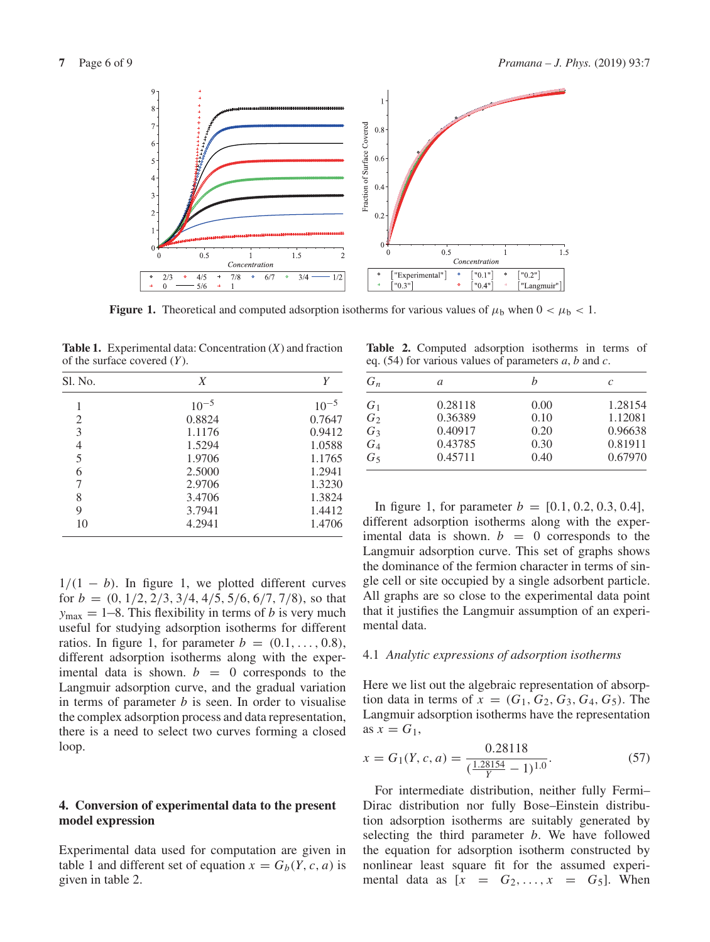

**Figure 1.** Theoretical and computed adsorption isotherms for various values of  $\mu_b$  when  $0 < \mu_b < 1$ .

**Table 1.** Experimental data: Concentration (*X*) and fraction of the surface covered (*Y*).

| Sl. No. | X         | Υ         |  |
|---------|-----------|-----------|--|
|         | $10^{-5}$ | $10^{-5}$ |  |
| 2       | 0.8824    | 0.7647    |  |
| 3       | 1.1176    | 0.9412    |  |
| 4       | 1.5294    | 1.0588    |  |
| 5       | 1.9706    | 1.1765    |  |
| 6       | 2.5000    | 1.2941    |  |
| 7       | 2.9706    | 1.3230    |  |
| 8       | 3.4706    | 1.3824    |  |
| 9       | 3.7941    | 1.4412    |  |
| 10      | 4.2941    | 1.4706    |  |

 $1/(1 - b)$ . In figure 1, we plotted different curves for  $b = (0, 1/2, 2/3, 3/4, 4/5, 5/6, 6/7, 7/8)$ , so that  $y_{\text{max}} = 1 - 8$ . This flexibility in terms of *b* is very much useful for studying adsorption isotherms for different ratios. In figure 1, for parameter  $b = (0.1, \ldots, 0.8)$ , different adsorption isotherms along with the experimental data is shown.  $b = 0$  corresponds to the Langmuir adsorption curve, and the gradual variation in terms of parameter *b* is seen. In order to visualise the complex adsorption process and data representation, there is a need to select two curves forming a closed loop.

# **4. Conversion of experimental data to the present model expression**

Experimental data used for computation are given in table 1 and different set of equation  $x = G_b(Y, c, a)$  is given in table 2.

**Table 2.** Computed adsorption isotherms in terms of eq. (54) for various values of parameters *a*, *b* and *c*.

| $G_n$          | a       |      | C       |
|----------------|---------|------|---------|
| $G_1$          | 0.28118 | 0.00 | 1.28154 |
| $G_2$          | 0.36389 | 0.10 | 1.12081 |
| $G_3$          | 0.40917 | 0.20 | 0.96638 |
| $G_4$          | 0.43785 | 0.30 | 0.81911 |
| G <sub>5</sub> | 0.45711 | 0.40 | 0.67970 |

In figure 1, for parameter  $b = [0.1, 0.2, 0.3, 0.4]$ , different adsorption isotherms along with the experimental data is shown.  $b = 0$  corresponds to the Langmuir adsorption curve. This set of graphs shows the dominance of the fermion character in terms of single cell or site occupied by a single adsorbent particle. All graphs are so close to the experimental data point that it justifies the Langmuir assumption of an experimental data.

### 4.1 *Analytic expressions of adsorption isotherms*

Here we list out the algebraic representation of absorption data in terms of  $x = (G_1, G_2, G_3, G_4, G_5)$ . The Langmuir adsorption isotherms have the representation as  $x = G_1$ ,

$$
x = G_1(Y, c, a) = \frac{0.28118}{(\frac{1.28154}{Y} - 1)^{1.0}}.
$$
\n(57)

For intermediate distribution, neither fully Fermi– Dirac distribution nor fully Bose–Einstein distribution adsorption isotherms are suitably generated by selecting the third parameter *b*. We have followed the equation for adsorption isotherm constructed by nonlinear least square fit for the assumed experimental data as  $[x = G_2, \ldots, x = G_5]$ . When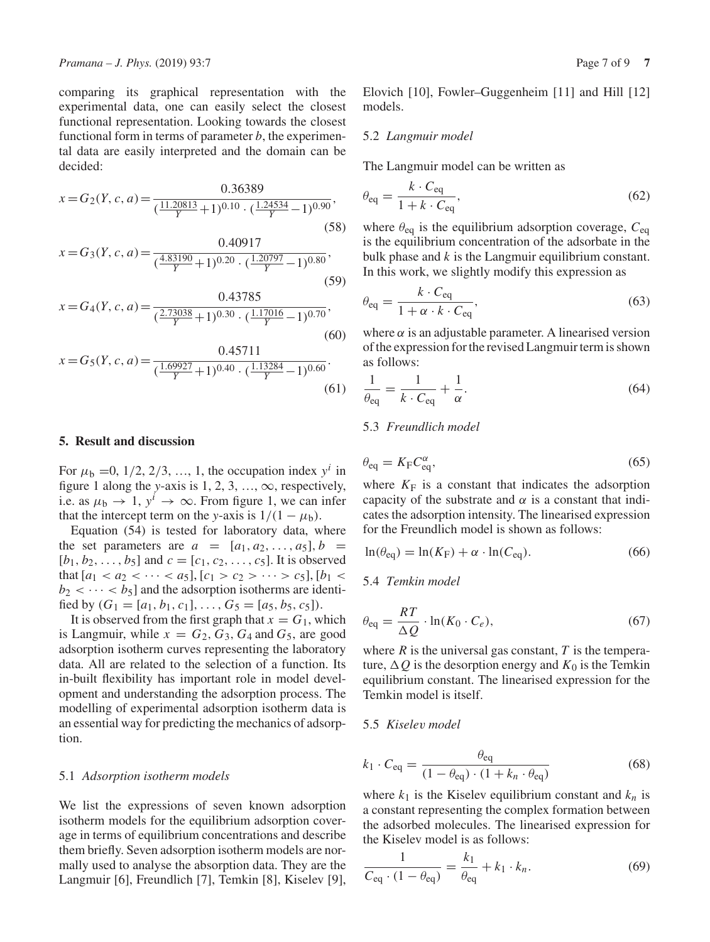comparing its graphical representation with the experimental data, one can easily select the closest functional representation. Looking towards the closest functional form in terms of parameter  $b$ , the experimental data are easily interpreted and the domain can be decided:

$$
x = G_2(Y, c, a) = \frac{0.36389}{(\frac{11.20813}{Y} + 1)^{0.10} \cdot (\frac{1.24534}{Y} - 1)^{0.90}},
$$
\n(58)

$$
x = G_3(Y, c, a) = \frac{0.40917}{(\frac{4.83190}{Y} + 1)^{0.20} \cdot (\frac{1.20797}{Y} - 1)^{0.80}},
$$
\n(59)

$$
x = G_4(Y, c, a) = \frac{0.43785}{(\frac{2.73038}{Y} + 1)^{0.30} \cdot (\frac{1.17016}{Y} - 1)^{0.70}},
$$
\n(60)

$$
x = G_5(Y, c, a) = \frac{0.45711}{(\frac{1.69927}{Y} + 1)^{0.40} \cdot (\frac{1.13284}{Y} - 1)^{0.60}}.
$$
\n(61)

### **5. Result and discussion**

For  $\mu_b = 0$ , 1/2, 2/3, ..., 1, the occupation index  $y^i$  in figure 1 along the *y*-axis is 1, 2, 3, ...,  $\infty$ , respectively, i.e. as  $\mu_b \rightarrow 1$ ,  $y^i \rightarrow \infty$ . From figure 1, we can infer that the intercept term on the *y*-axis is  $1/(1 - \mu_b)$ .

Equation (54) is tested for laboratory data, where the set parameters are  $a = [a_1, a_2, \ldots, a_5], b =$  $[b_1, b_2, \ldots, b_5]$  and  $c = [c_1, c_2, \ldots, c_5]$ . It is observed that  $[a_1 < a_2 < \cdots < a_5]$ ,  $[c_1 > c_2 > \cdots > c_5]$ ,  $[b_1 <$  $b_2 < \cdots < b_5$ ] and the adsorption isotherms are identified by  $(G_1 = [a_1, b_1, c_1], \ldots, G_5 = [a_5, b_5, c_5]).$ 

It is observed from the first graph that  $x = G_1$ , which is Langmuir, while  $x = G_2, G_3, G_4$  and  $G_5$ , are good adsorption isotherm curves representing the laboratory data. All are related to the selection of a function. Its in-built flexibility has important role in model development and understanding the adsorption process. The modelling of experimental adsorption isotherm data is an essential way for predicting the mechanics of adsorption.

#### 5.1 *Adsorption isotherm models*

We list the expressions of seven known adsorption isotherm models for the equilibrium adsorption coverage in terms of equilibrium concentrations and describe them briefly. Seven adsorption isotherm models are normally used to analyse the absorption data. They are the Langmuir [6], Freundlich [7], Temkin [8], Kiselev [9], Elovich [10], Fowler–Guggenheim [11] and Hill [12] models.

#### 5.2 *Langmuir model*

The Langmuir model can be written as

$$
\theta_{\text{eq}} = \frac{k \cdot C_{\text{eq}}}{1 + k \cdot C_{\text{eq}}},\tag{62}
$$

where  $\theta_{eq}$  is the equilibrium adsorption coverage,  $C_{eq}$ is the equilibrium concentration of the adsorbate in the bulk phase and *k* is the Langmuir equilibrium constant. In this work, we slightly modify this expression as

$$
\theta_{\text{eq}} = \frac{k \cdot C_{\text{eq}}}{1 + \alpha \cdot k \cdot C_{\text{eq}}},\tag{63}
$$

where  $\alpha$  is an adjustable parameter. A linearised version of the expression for the revised Langmuir term is shown as follows:

$$
\frac{1}{\theta_{\text{eq}}} = \frac{1}{k \cdot C_{\text{eq}}} + \frac{1}{\alpha}.\tag{64}
$$

## 5.3 *Freundlich model*

$$
\theta_{\text{eq}} = K_{\text{F}} C_{\text{eq}}^{\alpha},\tag{65}
$$

where  $K_F$  is a constant that indicates the adsorption capacity of the substrate and  $\alpha$  is a constant that indicates the adsorption intensity. The linearised expression for the Freundlich model is shown as follows:

$$
\ln(\theta_{\text{eq}}) = \ln(K_{\text{F}}) + \alpha \cdot \ln(C_{\text{eq}}). \tag{66}
$$

### 5.4 *Temkin model*

$$
\theta_{\text{eq}} = \frac{RT}{\Delta Q} \cdot \ln(K_0 \cdot C_e),\tag{67}
$$

where  $R$  is the universal gas constant,  $T$  is the temperature,  $\Delta Q$  is the desorption energy and  $K_0$  is the Temkin equilibrium constant. The linearised expression for the Temkin model is itself.

#### 5.5 *Kiselev model*

$$
k_1 \cdot C_{\text{eq}} = \frac{\theta_{\text{eq}}}{(1 - \theta_{\text{eq}}) \cdot (1 + k_n \cdot \theta_{\text{eq}})}
$$
(68)

where  $k_1$  is the Kiselev equilibrium constant and  $k_n$  is a constant representing the complex formation between the adsorbed molecules. The linearised expression for the Kiselev model is as follows:

$$
\frac{1}{C_{\text{eq}} \cdot (1 - \theta_{\text{eq}})} = \frac{k_1}{\theta_{\text{eq}}} + k_1 \cdot k_n. \tag{69}
$$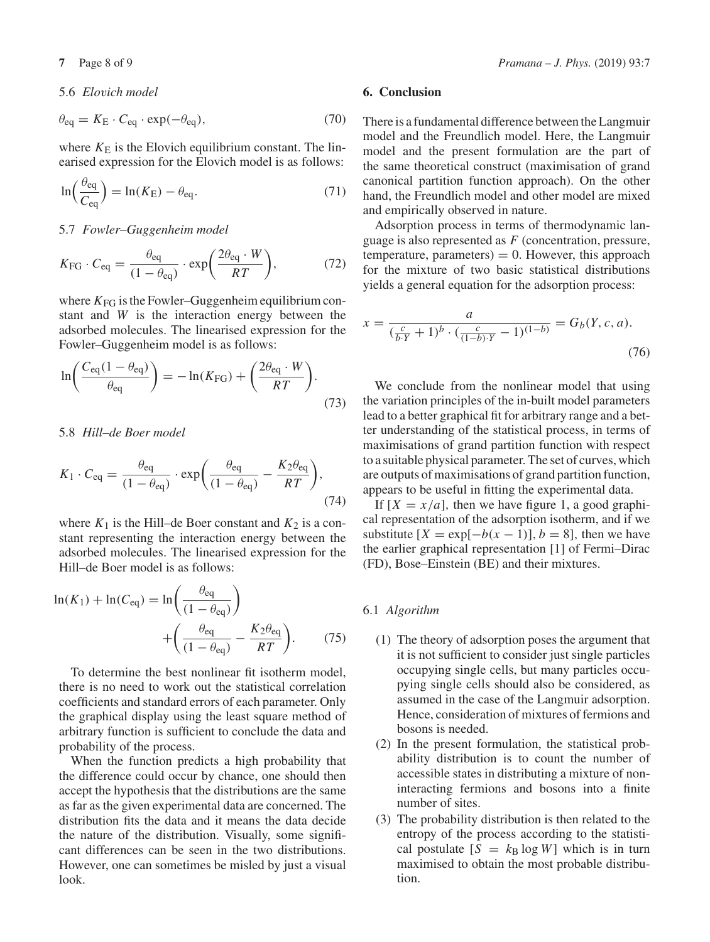## 5.6 *Elovich model*

$$
\theta_{\text{eq}} = K_{\text{E}} \cdot C_{\text{eq}} \cdot \exp(-\theta_{\text{eq}}),\tag{70}
$$

where  $K_{\rm E}$  is the Elovich equilibrium constant. The linearised expression for the Elovich model is as follows:

$$
\ln\left(\frac{\theta_{\text{eq}}}{C_{\text{eq}}}\right) = \ln(K_{\text{E}}) - \theta_{\text{eq}}.\tag{71}
$$

5.7 *Fowler–Guggenheim model*

$$
K_{\rm FG} \cdot C_{\rm eq} = \frac{\theta_{\rm eq}}{(1 - \theta_{\rm eq})} \cdot \exp\left(\frac{2\theta_{\rm eq} \cdot W}{RT}\right),\tag{72}
$$

where  $K_{FG}$  is the Fowler–Guggenheim equilibrium constant and *W* is the interaction energy between the adsorbed molecules. The linearised expression for the Fowler–Guggenheim model is as follows:

$$
\ln\left(\frac{C_{\text{eq}}(1-\theta_{\text{eq}})}{\theta_{\text{eq}}}\right) = -\ln(K_{\text{FG}}) + \left(\frac{2\theta_{\text{eq}} \cdot W}{RT}\right). \tag{73}
$$

5.8 *Hill–de Boer model*

$$
K_1 \cdot C_{\text{eq}} = \frac{\theta_{\text{eq}}}{(1 - \theta_{\text{eq}})} \cdot \exp\left(\frac{\theta_{\text{eq}}}{(1 - \theta_{\text{eq}})} - \frac{K_2 \theta_{\text{eq}}}{RT}\right),\tag{74}
$$

where  $K_1$  is the Hill–de Boer constant and  $K_2$  is a constant representing the interaction energy between the adsorbed molecules. The linearised expression for the Hill–de Boer model is as follows:

$$
\ln(K_1) + \ln(C_{\text{eq}}) = \ln\left(\frac{\theta_{\text{eq}}}{(1 - \theta_{\text{eq}})}\right)
$$

$$
+ \left(\frac{\theta_{\text{eq}}}{(1 - \theta_{\text{eq}})} - \frac{K_2 \theta_{\text{eq}}}{RT}\right). \tag{75}
$$

To determine the best nonlinear fit isotherm model, there is no need to work out the statistical correlation coefficients and standard errors of each parameter. Only the graphical display using the least square method of arbitrary function is sufficient to conclude the data and probability of the process.

When the function predicts a high probability that the difference could occur by chance, one should then accept the hypothesis that the distributions are the same as far as the given experimental data are concerned. The distribution fits the data and it means the data decide the nature of the distribution. Visually, some significant differences can be seen in the two distributions. However, one can sometimes be misled by just a visual look.

# **6. Conclusion**

There is a fundamental difference between the Langmuir model and the Freundlich model. Here, the Langmuir model and the present formulation are the part of the same theoretical construct (maximisation of grand canonical partition function approach). On the other hand, the Freundlich model and other model are mixed and empirically observed in nature.

Adsorption process in terms of thermodynamic language is also represented as *F* (concentration, pressure, temperature, parameters)  $= 0$ . However, this approach for the mixture of two basic statistical distributions yields a general equation for the adsorption process:

$$
x = \frac{a}{(\frac{c}{b \cdot Y} + 1)^b \cdot (\frac{c}{(1 - b) \cdot Y} - 1)^{(1 - b)}} = G_b(Y, c, a).
$$
\n(76)

We conclude from the nonlinear model that using the variation principles of the in-built model parameters lead to a better graphical fit for arbitrary range and a better understanding of the statistical process, in terms of maximisations of grand partition function with respect to a suitable physical parameter. The set of curves, which are outputs of maximisations of grand partition function, appears to be useful in fitting the experimental data.

If  $[X = x/a]$ , then we have figure 1, a good graphical representation of the adsorption isotherm, and if we substitute  $[X = \exp[-b(x-1)], b = 8]$ , then we have the earlier graphical representation [1] of Fermi–Dirac (FD), Bose–Einstein (BE) and their mixtures.

# 6.1 *Algorithm*

- (1) The theory of adsorption poses the argument that it is not sufficient to consider just single particles occupying single cells, but many particles occupying single cells should also be considered, as assumed in the case of the Langmuir adsorption. Hence, consideration of mixtures of fermions and bosons is needed.
- (2) In the present formulation, the statistical probability distribution is to count the number of accessible states in distributing a mixture of noninteracting fermions and bosons into a finite number of sites.
- (3) The probability distribution is then related to the entropy of the process according to the statistical postulate  $[S = k_B \log W]$  which is in turn maximised to obtain the most probable distribution.